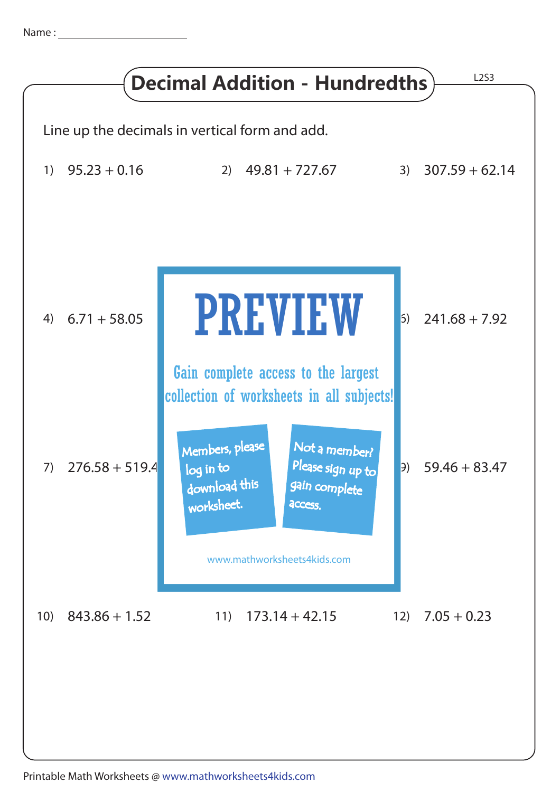